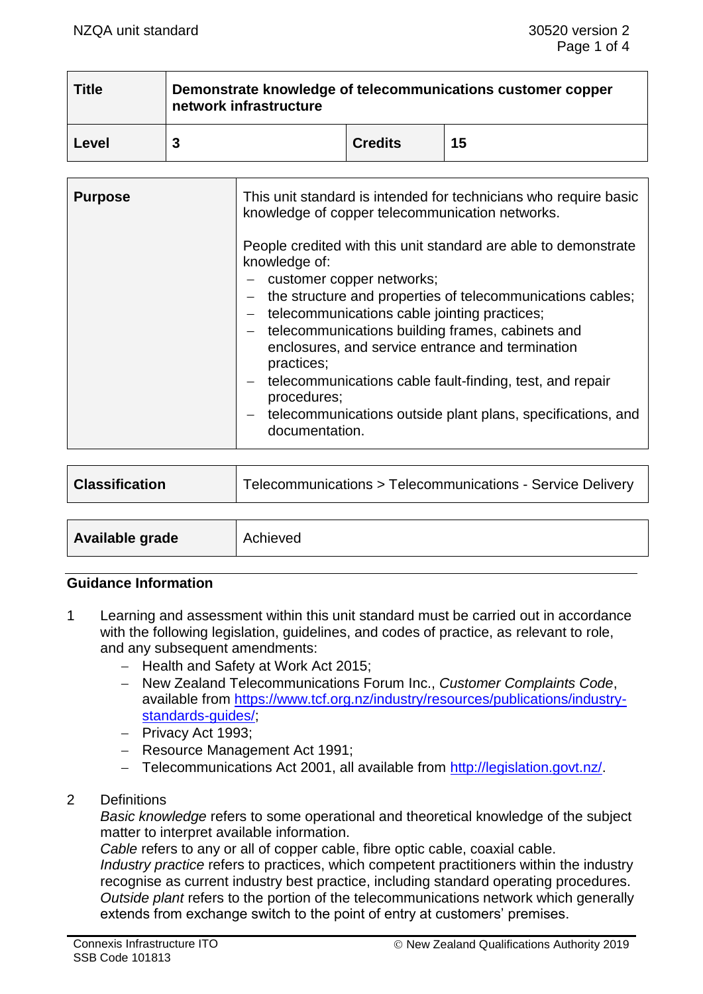| <b>Title</b> | Demonstrate knowledge of telecommunications customer copper<br>network infrastructure |                |    |  |
|--------------|---------------------------------------------------------------------------------------|----------------|----|--|
| Level        |                                                                                       | <b>Credits</b> | 15 |  |

| <b>Purpose</b> | This unit standard is intended for technicians who require basic<br>knowledge of copper telecommunication networks.                                                                                                                                                                                                                                                                                                                                                                                                                                      |
|----------------|----------------------------------------------------------------------------------------------------------------------------------------------------------------------------------------------------------------------------------------------------------------------------------------------------------------------------------------------------------------------------------------------------------------------------------------------------------------------------------------------------------------------------------------------------------|
|                | People credited with this unit standard are able to demonstrate<br>knowledge of:<br>- customer copper networks;<br>the structure and properties of telecommunications cables;<br>$\overline{\phantom{0}}$<br>telecommunications cable jointing practices;<br>- telecommunications building frames, cabinets and<br>enclosures, and service entrance and termination<br>practices;<br>- telecommunications cable fault-finding, test, and repair<br>procedures;<br>telecommunications outside plant plans, specifications, and<br>$ \,$<br>documentation. |

| <b>Classification</b> | Telecommunications > Telecommunications - Service Delivery |  |
|-----------------------|------------------------------------------------------------|--|
|                       |                                                            |  |
| Available grade       | Achieved                                                   |  |

### **Guidance Information**

- 1 Learning and assessment within this unit standard must be carried out in accordance with the following legislation, guidelines, and codes of practice, as relevant to role, and any subsequent amendments:
	- − Health and Safety at Work Act 2015;
	- − New Zealand Telecommunications Forum Inc., *Customer Complaints Code*, available from [https://www.tcf.org.nz/industry/resources/publications/industry](https://www.tcf.org.nz/industry/resources/publications/industry-standards-guides/)[standards-guides/;](https://www.tcf.org.nz/industry/resources/publications/industry-standards-guides/)
	- − Privacy Act 1993;
	- − Resource Management Act 1991;
	- − Telecommunications Act 2001, all available from [http://legislation.govt.nz/.](http://legislation.govt.nz/)
- 2 Definitions

*Basic knowledge* refers to some operational and theoretical knowledge of the subject matter to interpret available information.

*Cable* refers to any or all of copper cable, fibre optic cable, coaxial cable. *Industry practice* refers to practices, which competent practitioners within the industry recognise as current industry best practice, including standard operating procedures. *Outside plant* refers to the portion of the telecommunications network which generally extends from exchange switch to the point of entry at customers' premises.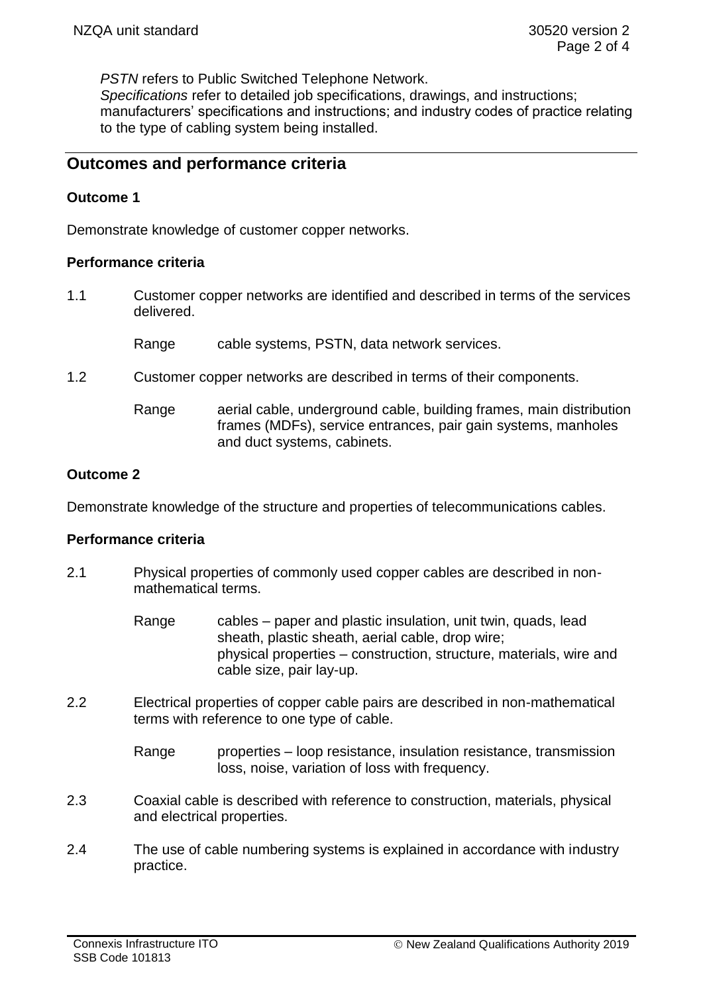*PSTN* refers to Public Switched Telephone Network.

*Specifications* refer to detailed job specifications, drawings, and instructions; manufacturers' specifications and instructions; and industry codes of practice relating to the type of cabling system being installed.

# **Outcomes and performance criteria**

### **Outcome 1**

Demonstrate knowledge of customer copper networks.

#### **Performance criteria**

1.1 Customer copper networks are identified and described in terms of the services delivered.

Range cable systems, PSTN, data network services.

- 1.2 Customer copper networks are described in terms of their components.
	- Range aerial cable, underground cable, building frames, main distribution frames (MDFs), service entrances, pair gain systems, manholes and duct systems, cabinets.

### **Outcome 2**

Demonstrate knowledge of the structure and properties of telecommunications cables.

### **Performance criteria**

- 2.1 Physical properties of commonly used copper cables are described in nonmathematical terms.
	- Range cables paper and plastic insulation, unit twin, quads, lead sheath, plastic sheath, aerial cable, drop wire; physical properties – construction, structure, materials, wire and cable size, pair lay-up.
- 2.2 Electrical properties of copper cable pairs are described in non-mathematical terms with reference to one type of cable.

Range properties – loop resistance, insulation resistance, transmission loss, noise, variation of loss with frequency.

- 2.3 Coaxial cable is described with reference to construction, materials, physical and electrical properties.
- 2.4 The use of cable numbering systems is explained in accordance with industry practice.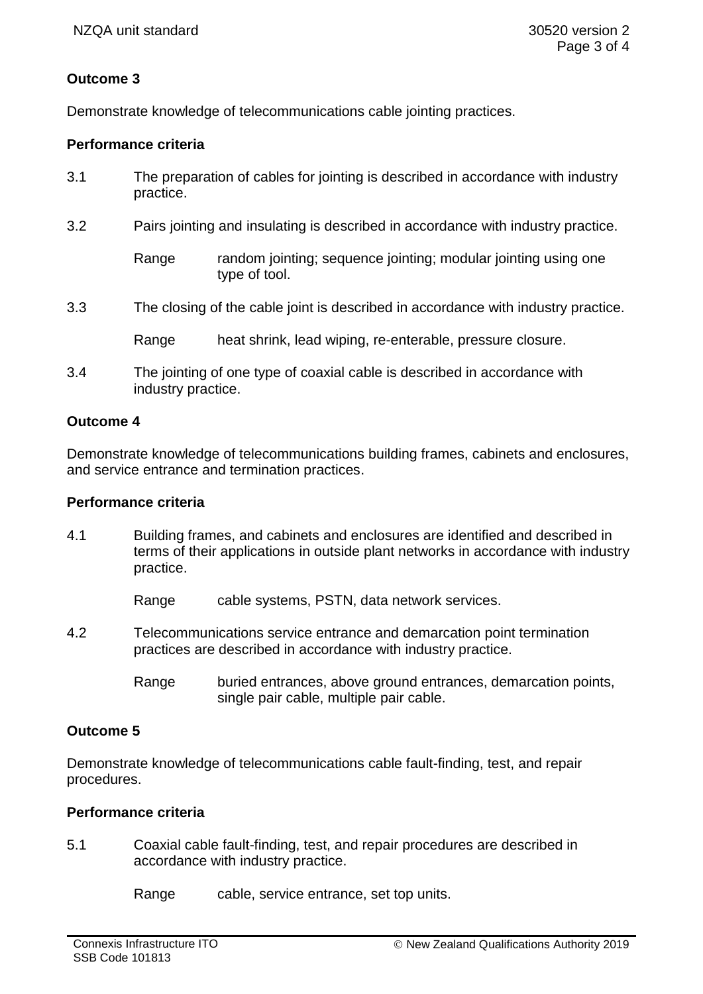# **Outcome 3**

Demonstrate knowledge of telecommunications cable jointing practices.

# **Performance criteria**

- 3.1 The preparation of cables for jointing is described in accordance with industry practice.
- 3.2 Pairs jointing and insulating is described in accordance with industry practice.

- 3.3 The closing of the cable joint is described in accordance with industry practice.
	- Range heat shrink, lead wiping, re-enterable, pressure closure.
- 3.4 The jointing of one type of coaxial cable is described in accordance with industry practice.

# **Outcome 4**

Demonstrate knowledge of telecommunications building frames, cabinets and enclosures, and service entrance and termination practices.

### **Performance criteria**

4.1 Building frames, and cabinets and enclosures are identified and described in terms of their applications in outside plant networks in accordance with industry practice.

Range cable systems, PSTN, data network services.

- 4.2 Telecommunications service entrance and demarcation point termination practices are described in accordance with industry practice.
	- Range buried entrances, above ground entrances, demarcation points, single pair cable, multiple pair cable.

### **Outcome 5**

Demonstrate knowledge of telecommunications cable fault-finding, test, and repair procedures.

### **Performance criteria**

5.1 Coaxial cable fault-finding, test, and repair procedures are described in accordance with industry practice.

Range cable, service entrance, set top units.

Range random jointing; sequence jointing; modular jointing using one type of tool.